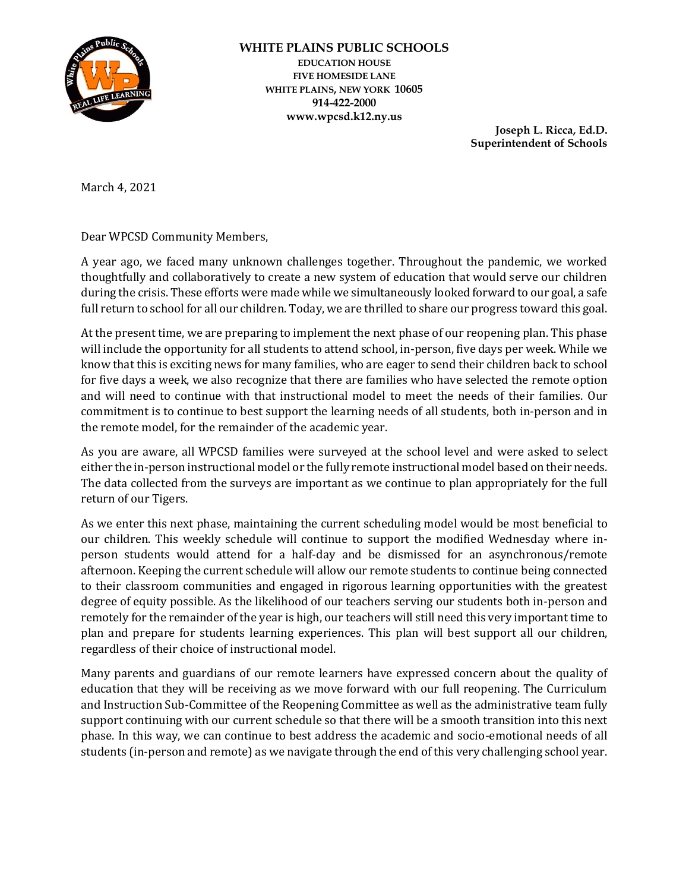

## **WHITE PLAINS PUBLIC SCHOOLS EDUCATION HOUSE FIVE HOMESIDE LANE WHITE PLAINS, NEW YORK 10605 914-422-2000 www.wpcsd.k12.ny.us**

**Joseph L. Ricca, Ed.D. Superintendent of Schools**

March 4, 2021

Dear WPCSD Community Members,

A year ago, we faced many unknown challenges together. Throughout the pandemic, we worked thoughtfully and collaboratively to create a new system of education that would serve our children during the crisis. These efforts were made while we simultaneously looked forward to our goal, a safe full return to school for all our children. Today, we are thrilled to share our progress toward this goal.

At the present time, we are preparing to implement the next phase of our reopening plan. This phase will include the opportunity for all students to attend school, in-person, five days per week. While we know that this is exciting news for many families, who are eager to send their children back to school for five days a week, we also recognize that there are families who have selected the remote option and will need to continue with that instructional model to meet the needs of their families. Our commitment is to continue to best support the learning needs of all students, both in-person and in the remote model, for the remainder of the academic year.

As you are aware, all WPCSD families were surveyed at the school level and were asked to select either the in-person instructional model or the fully remote instructional model based on their needs. The data collected from the surveys are important as we continue to plan appropriately for the full return of our Tigers.

As we enter this next phase, maintaining the current scheduling model would be most beneficial to our children. This weekly schedule will continue to support the modified Wednesday where inperson students would attend for a half-day and be dismissed for an asynchronous/remote afternoon. Keeping the current schedule will allow our remote students to continue being connected to their classroom communities and engaged in rigorous learning opportunities with the greatest degree of equity possible. As the likelihood of our teachers serving our students both in-person and remotely for the remainder of the year is high, our teachers will still need this very important time to plan and prepare for students learning experiences. This plan will best support all our children, regardless of their choice of instructional model.

Many parents and guardians of our remote learners have expressed concern about the quality of education that they will be receiving as we move forward with our full reopening. The Curriculum and Instruction Sub-Committee of the Reopening Committee as well as the administrative team fully support continuing with our current schedule so that there will be a smooth transition into this next phase. In this way, we can continue to best address the academic and socio-emotional needs of all students (in-person and remote) as we navigate through the end of this very challenging school year.